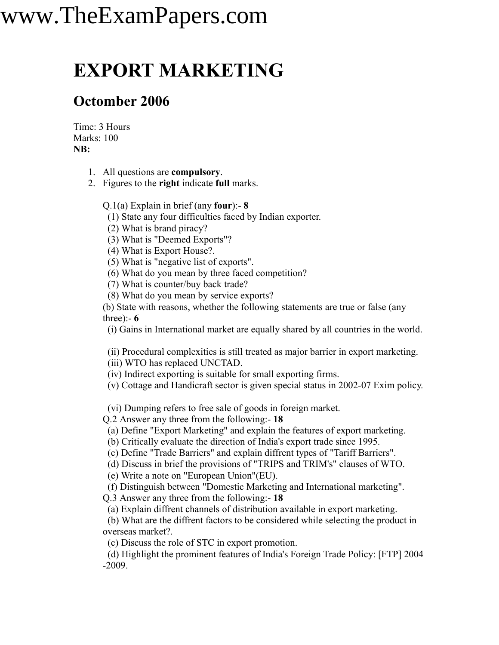## www.TheExamPapers.com

#### **EXPORT MARKETING**

#### **Octomber 2006**

Time: 3 Hours Marks: 100 **NB:**

- 1. All questions are **compulsory**.
- 2. Figures to the **right** indicate **full** marks.

Q.1(a) Explain in brief (any **four**):- **8**

(1) State any four difficulties faced by Indian exporter.

(2) What is brand piracy?

(3) What is "Deemed Exports"?

(4) What is Export House?.

(5) What is "negative list of exports".

(6) What do you mean by three faced competition?

(7) What is counter/buy back trade?

(8) What do you mean by service exports?

(b) State with reasons, whether the following statements are true or false (any three):- **6**

(i) Gains in International market are equally shared by all countries in the world.

(ii) Procedural complexities is still treated as major barrier in export marketing.

(iii) WTO has replaced UNCTAD.

(iv) Indirect exporting is suitable for small exporting firms.

(v) Cottage and Handicraft sector is given special status in 2002-07 Exim policy.

(vi) Dumping refers to free sale of goods in foreign market.

Q.2 Answer any three from the following:- **18**

(a) Define "Export Marketing" and explain the features of export marketing.

(b) Critically evaluate the direction of India's export trade since 1995.

(c) Define "Trade Barriers" and explain diffrent types of "Tariff Barriers".

(d) Discuss in brief the provisions of "TRIPS and TRIM's" clauses of WTO.

(e) Write a note on "European Union"(EU).

(f) Distinguish between "Domestic Marketing and International marketing". Q.3 Answer any three from the following:- **18**

(a) Explain diffrent channels of distribution available in export marketing.

(b) What are the diffrent factors to be considered while selecting the product in overseas market?.

(c) Discuss the role of STC in export promotion.

(d) Highlight the prominent features of India's Foreign Trade Policy: [FTP] 2004 -2009.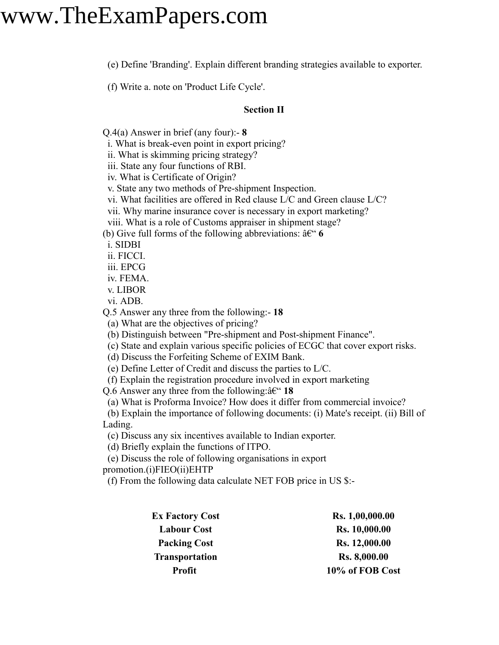### www.TheExamPapers.com

(e) Define 'Branding'. Explain different branding strategies available to exporter.

(f) Write a. note on 'Product Life Cycle'.

#### **Section II**

Q.4(a) Answer in brief (any four):- **8**

i. What is break-even point in export pricing?

ii. What is skimming pricing strategy?

iii. State any four functions of RBI.

iv. What is Certificate of Origin?

v. State any two methods of Pre-shipment Inspection.

vi. What facilities are offered in Red clause L/C and Green clause L/C?

vii. Why marine insurance cover is necessary in export marketing?

viii. What is a role of Customs appraiser in shipment stage?

(b) Give full forms of the following abbreviations:  $\hat{a}\in\mathcal{C}$ 

i. SIDBI

ii. FICCI.

iii. EPCG

iv. FEMA.

v. LIBOR

vi. ADB.

Q.5 Answer any three from the following:- **18**

(a) What are the objectives of pricing?

(b) Distinguish between "Pre-shipment and Post-shipment Finance".

(c) State and explain various specific policies of ECGC that cover export risks.

(d) Discuss the Forfeiting Scheme of EXIM Bank.

(e) Define Letter of Credit and discuss the parties to L/C.

(f) Explain the registration procedure involved in export marketing

Q.6 Answer any three from the following: $\hat{a} \in \mathcal{C}$  18

(a) What is Proforma Invoice? How does it differ from commercial invoice?

(b) Explain the importance of following documents: (i) Mate's receipt. (ii) Bill of Lading.

(c) Discuss any six incentives available to Indian exporter.

(d) Briefly explain the functions of ITPO.

(e) Discuss the role of following organisations in export

promotion.(i)FIEO(ii)EHTP

(f) From the following data calculate NET FOB price in US \$:-

| <b>Ex Factory Cost</b> | Rs. 1,00,000.00     |
|------------------------|---------------------|
| <b>Labour Cost</b>     | Rs. 10,000.00       |
| <b>Packing Cost</b>    | Rs. 12,000.00       |
| <b>Transportation</b>  | <b>Rs. 8,000.00</b> |
| Profit                 | 10% of FOB Cost     |